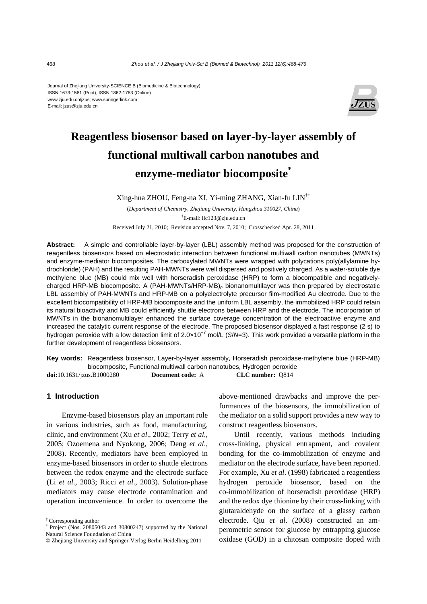#### Journal of Zhejiang University-SCIENCE B (Biomedicine & Biotechnology) ISSN 1673-1581 (Print); ISSN 1862-1783 (Online) www.zju.edu.cn/jzus; www.springerlink.com E-mail: jzus@zju.edu.cn



# **Reagentless biosensor based on layer-by-layer assembly of functional multiwall carbon nanotubes and enzyme-mediator biocomposite\***

Xing-hua ZHOU, Feng-na XI, Yi-ming ZHANG, Xian-fu LIN†‡

(*Department of Chemistry, Zhejiang University, Hangzhou 310027, China*) † E-mail: llc123@zju.edu.cn Received July 21, 2010; Revision accepted Nov. 7, 2010; Crosschecked Apr. 28, 2011

**Abstract:** A simple and controllable layer-by-layer (LBL) assembly method was proposed for the construction of reagentless biosensors based on electrostatic interaction between functional multiwall carbon nanotubes (MWNTs) and enzyme-mediator biocomposites. The carboxylated MWNTs were wrapped with polycations poly(allylamine hydrochloride) (PAH) and the resulting PAH-MWNTs were well dispersed and positively charged. As a water-soluble dye methylene blue (MB) could mix well with horseradish peroxidase (HRP) to form a biocompatible and negativelycharged HRP-MB biocomposite. A (PAH-MWNTs/HRP-MB)*n* bionanomultilayer was then prepared by electrostatic LBL assembly of PAH-MWNTs and HRP-MB on a polyelectrolyte precursor film-modified Au electrode. Due to the excellent biocompatibility of HRP-MB biocomposite and the uniform LBL assembly, the immobilized HRP could retain its natural bioactivity and MB could efficiently shuttle electrons between HRP and the electrode. The incorporation of MWNTs in the bionanomultilayer enhanced the surface coverage concentration of the electroactive enzyme and increased the catalytic current response of the electrode. The proposed biosensor displayed a fast response (2 s) to hydrogen peroxide with a low detection limit of 2.0×10<sup>−</sup><sup>7</sup> mol/L (*S*/*N*=3). This work provided a versatile platform in the further development of reagentless biosensors.

**Key words:** Reagentless biosensor, Layer-by-layer assembly, Horseradish peroxidase-methylene blue (HRP-MB) biocomposite, Functional multiwall carbon nanotubes, Hydrogen peroxide **doi:**10.1631/jzus.B1000280 **Document code:** A **CLC number:** Q814

## **1 Introduction**

Enzyme-based biosensors play an important role in various industries, such as food, manufacturing, clinic, and environment (Xu *et al*., 2002; Terry *et al*., 2005; Ozoemena and Nyokong, 2006; Deng *et al*., 2008). Recently, mediators have been employed in enzyme-based biosensors in order to shuttle electrons between the redox enzyme and the electrode surface (Li *et al*., 2003; Ricci *et al*., 2003). Solution-phase mediators may cause electrode contamination and operation inconvenience. In order to overcome the above-mentioned drawbacks and improve the performances of the biosensors, the immobilization of the mediator on a solid support provides a new way to construct reagentless biosensors.

Until recently, various methods including cross-linking, physical entrapment, and covalent bonding for the co-immobilization of enzyme and mediator on the electrode surface, have been reported. For example, Xu *et al*. (1998) fabricated a reagentless hydrogen peroxide biosensor, based on the co-immobilization of horseradish peroxidase (HRP) and the redox dye thionine by their cross-linking with glutaraldehyde on the surface of a glassy carbon electrode. Qiu *et al*. (2008) constructed an amperometric sensor for glucose by entrapping glucose oxidase (GOD) in a chitosan composite doped with

<sup>‡</sup> Corresponding author

<sup>\*</sup> Project (Nos. 20805043 and 30800247) supported by the National Natural Science Foundation of China

<sup>©</sup> Zhejiang University and Springer-Verlag Berlin Heidelberg 2011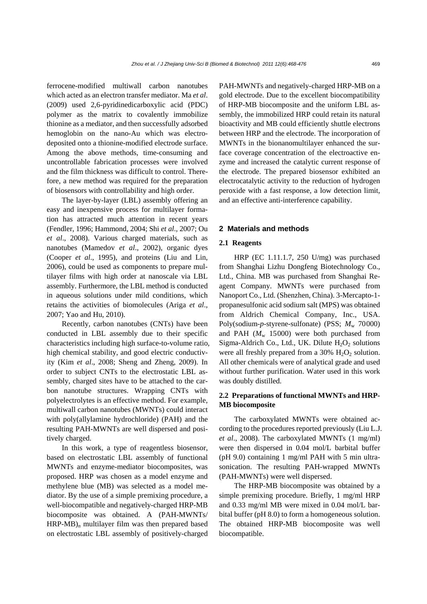ferrocene-modified multiwall carbon nanotubes which acted as an electron transfer mediator. Ma *et al*. (2009) used 2,6-pyridinedicarboxylic acid (PDC) polymer as the matrix to covalently immobilize thionine as a mediator, and then successfully adsorbed hemoglobin on the nano-Au which was electrodeposited onto a thionine-modified electrode surface. Among the above methods, time-consuming and uncontrollable fabrication processes were involved and the film thickness was difficult to control. Therefore, a new method was required for the preparation of biosensors with controllability and high order.

The layer-by-layer (LBL) assembly offering an easy and inexpensive process for multilayer formation has attracted much attention in recent years (Fendler, 1996; Hammond, 2004; Shi *et al*., 2007; Ou *et al*., 2008). Various charged materials, such as nanotubes (Mamedov *et al*., 2002), organic dyes (Cooper *et al*., 1995), and proteins (Liu and Lin, 2006), could be used as components to prepare multilayer films with high order at nanoscale via LBL assembly. Furthermore, the LBL method is conducted in aqueous solutions under mild conditions, which retains the activities of biomolecules (Ariga *et al*., 2007; Yao and Hu, 2010).

Recently, carbon nanotubes (CNTs) have been conducted in LBL assembly due to their specific characteristics including high surface-to-volume ratio, high chemical stability, and good electric conductivity (Kim *et al*., 2008; Sheng and Zheng, 2009). In order to subject CNTs to the electrostatic LBL assembly, charged sites have to be attached to the carbon nanotube structures. Wrapping CNTs with polyelectrolytes is an effective method. For example, multiwall carbon nanotubes (MWNTs) could interact with poly(allylamine hydrochloride) (PAH) and the resulting PAH-MWNTs are well dispersed and positively charged.

In this work, a type of reagentless biosensor, based on electrostatic LBL assembly of functional MWNTs and enzyme-mediator biocomposites, was proposed. HRP was chosen as a model enzyme and methylene blue (MB) was selected as a model mediator. By the use of a simple premixing procedure, a well-biocompatible and negatively-charged HRP-MB biocomposite was obtained. A (PAH-MWNTs/ HRP-MB)*n* multilayer film was then prepared based on electrostatic LBL assembly of positively-charged PAH-MWNTs and negatively-charged HRP-MB on a gold electrode. Due to the excellent biocompatibility of HRP-MB biocomposite and the uniform LBL assembly, the immobilized HRP could retain its natural bioactivity and MB could efficiently shuttle electrons between HRP and the electrode. The incorporation of MWNTs in the bionanomultilayer enhanced the surface coverage concentration of the electroactive enzyme and increased the catalytic current response of the electrode. The prepared biosensor exhibited an electrocatalytic activity to the reduction of hydrogen peroxide with a fast response, a low detection limit, and an effective anti-interference capability.

#### **2 Materials and methods**

#### **2.1 Reagents**

HRP (EC 1.11.1.7, 250 U/mg) was purchased from Shanghai Lizhu Dongfeng Biotechnology Co., Ltd., China. MB was purchased from Shanghai Reagent Company. MWNTs were purchased from Nanoport Co., Ltd. (Shenzhen, China). 3-Mercapto-1 propanesulfonic acid sodium salt (MPS) was obtained from Aldrich Chemical Company, Inc., USA. Poly(sodium-*p*-styrene-sulfonate) (PSS;  $M_{\text{w}}$  70000) and PAH  $(M_w 15000)$  were both purchased from Sigma-Aldrich Co., Ltd., UK. Dilute  $H_2O_2$  solutions were all freshly prepared from a  $30\%$  H<sub>2</sub>O<sub>2</sub> solution. All other chemicals were of analytical grade and used without further purification. Water used in this work was doubly distilled.

## **2.2 Preparations of functional MWNTs and HRP-MB biocomposite**

The carboxylated MWNTs were obtained according to the procedures reported previously (Liu L.J. *et al*., 2008). The carboxylated MWNTs (1 mg/ml) were then dispersed in 0.04 mol/L barbital buffer (pH 9.0) containing 1 mg/ml PAH with 5 min ultrasonication. The resulting PAH-wrapped MWNTs (PAH-MWNTs) were well dispersed.

The HRP-MB biocomposite was obtained by a simple premixing procedure. Briefly, 1 mg/ml HRP and 0.33 mg/ml MB were mixed in 0.04 mol/L barbital buffer (pH 8.0) to form a homogeneous solution. The obtained HRP-MB biocomposite was well biocompatible.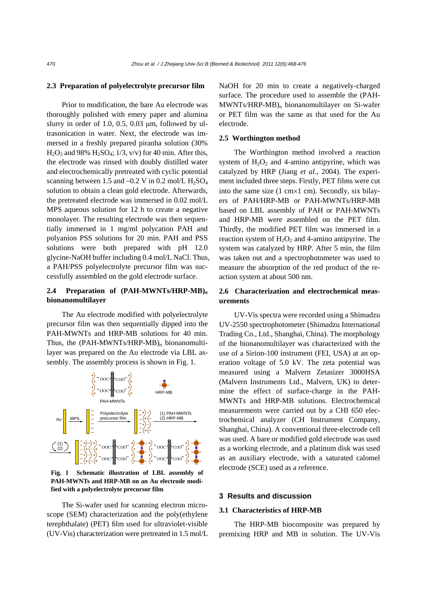#### **2.3 Preparation of polyelectrolyte precursor film**

Prior to modification, the bare Au electrode was thoroughly polished with emery paper and alumina slurry in order of 1.0, 0.5, 0.03  $\mu$ m, followed by ultrasonication in water. Next, the electrode was immersed in a freshly prepared piranha solution (30%  $H<sub>2</sub>O<sub>2</sub>$  and 98%  $H<sub>2</sub>SO<sub>4</sub>; 1/3, v/v$  for 40 min. After this, the electrode was rinsed with doubly distilled water and electrochemically pretreated with cyclic potential scanning between 1.5 and  $-0.2$  V in 0.2 mol/L H<sub>2</sub>SO<sub>4</sub> solution to obtain a clean gold electrode. Afterwards, the pretreated electrode was immersed in 0.02 mol/L MPS aqueous solution for 12 h to create a negative monolayer. The resulting electrode was then sequentially immersed in 1 mg/ml polycation PAH and polyanion PSS solutions for 20 min. PAH and PSS solutions were both prepared with pH 12.0 glycine-NaOH buffer including 0.4 mol/L NaCl. Thus, a PAH/PSS polyelectrolyte precursor film was successfully assembled on the gold electrode surface.

## **2.4 Preparation of (PAH-MWNTs/HRP-MB)***<sup>n</sup>* **bionanomultilayer**

The Au electrode modified with polyelectrolyte precursor film was then sequentially dipped into the PAH-MWNTs and HRP-MB solutions for 40 min. Thus, the (PAH-MWNTs/HRP-MB)*n* bionanomultilayer was prepared on the Au electrode via LBL assembly. The assembly process is shown in Fig. 1.



**Fig. 1 Schematic illustration of LBL assembly of PAH-MWNTs and HRP-MB on an Au electrode modified with a polyelectrolyte precursor film** 

The Si-wafer used for scanning electron microscope (SEM) characterization and the poly(ethylene terephthalate) (PET) film used for ultraviolet-visible (UV-Vis) characterization were pretreated in 1.5 mol/L NaOH for 20 min to create a negatively-charged surface. The procedure used to assemble the (PAH-MWNTs/HRP-MB)*n* bionanomultilayer on Si-wafer or PET film was the same as that used for the Au electrode.

#### **2.5 Worthington method**

The Worthington method involved a reaction system of  $H_2O_2$  and 4-amino antipyrine, which was catalyzed by HRP (Jiang *et al*., 2004). The experiment included three steps. Firstly, PET films were cut into the same size (1 cm×1 cm). Secondly, six bilayers of PAH/HRP-MB or PAH-MWNTs/HRP-MB based on LBL assembly of PAH or PAH-MWNTs and HRP-MB were assembled on the PET film. Thirdly, the modified PET film was immersed in a reaction system of  $H_2O_2$  and 4-amino antipyrine. The system was catalyzed by HRP. After 5 min, the film was taken out and a spectrophotometer was used to measure the absorption of the red product of the reaction system at about 500 nm.

#### **2.6 Characterization and electrochemical measurements**

UV-Vis spectra were recorded using a Shimadzu UV-2550 spectrophotometer (Shimadzu International Trading Co., Ltd., Shanghai, China). The morphology of the bionanomultilayer was characterized with the use of a Sirion-100 instrument (FEI, USA) at an operation voltage of 5.0 kV. The zeta potential was measured using a Malvern Zetasizer 3000HSA (Malvern Instruments Ltd., Malvern, UK) to determine the effect of surface-charge in the PAH-MWNTs and HRP-MB solutions. Electrochemical measurements were carried out by a CHI 650 electrochemical analyzer (CH Instrument Company, Shanghai, China). A conventional three-electrode cell was used. A bare or modified gold electrode was used as a working electrode, and a platinum disk was used as an auxiliary electrode, with a saturated calomel electrode (SCE) used as a reference.

#### **3 Results and discussion**

#### **3.1 Characteristics of HRP-MB**

The HRP-MB biocomposite was prepared by premixing HRP and MB in solution. The UV-Vis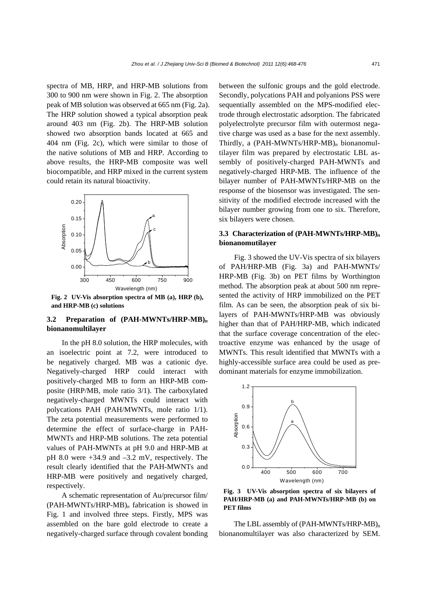spectra of MB, HRP, and HRP-MB solutions from 300 to 900 nm were shown in Fig. 2. The absorption peak of MB solution was observed at 665 nm (Fig. 2a). The HRP solution showed a typical absorption peak around 403 nm (Fig. 2b). The HRP-MB solution showed two absorption bands located at 665 and 404 nm (Fig. 2c), which were similar to those of the native solutions of MB and HRP. According to above results, the HRP-MB composite was well biocompatible, and HRP mixed in the current system could retain its natural bioactivity.



**Fig. 2 UV-Vis absorption spectra of MB (a), HRP (b), and HRP-MB (c) solutions**

## **3.2 Preparation of (PAH-MWNTs/HRP-MB)***<sup>n</sup>* **bionanomultilayer**

In the pH 8.0 solution, the HRP molecules, with an isoelectric point at 7.2, were introduced to be negatively charged. MB was a cationic dye. Negatively-charged HRP could interact with positively-charged MB to form an HRP-MB composite (HRP/MB, mole ratio 3/1). The carboxylated negatively-charged MWNTs could interact with polycations PAH (PAH/MWNTs, mole ratio 1/1). The zeta potential measurements were performed to determine the effect of surface-charge in PAH-MWNTs and HRP-MB solutions. The zeta potential values of PAH-MWNTs at pH 9.0 and HRP-MB at pH 8.0 were +34.9 and –3.2 mV, respectively. The result clearly identified that the PAH-MWNTs and HRP-MB were positively and negatively charged, respectively.

A schematic representation of Au/precursor film/ (PAH-MWNTs/HRP-MB)*n* fabrication is showed in Fig. 1 and involved three steps. Firstly, MPS was assembled on the bare gold electrode to create a negatively-charged surface through covalent bonding between the sulfonic groups and the gold electrode. Secondly, polycations PAH and polyanions PSS were sequentially assembled on the MPS-modified electrode through electrostatic adsorption. The fabricated polyelectrolyte precursor film with outermost negative charge was used as a base for the next assembly. Thirdly, a (PAH-MWNTs/HRP-MB)*n* bionanomultilayer film was prepared by electrostatic LBL assembly of positively-charged PAH-MWNTs and negatively-charged HRP-MB. The influence of the bilayer number of PAH-MWNTs/HRP-MB on the response of the biosensor was investigated. The sensitivity of the modified electrode increased with the bilayer number growing from one to six. Therefore, six bilayers were chosen.

## **3.3 Characterization of (PAH-MWNTs/HRP-MB)***<sup>n</sup>* **bionanomutilayer**

Fig. 3 showed the UV-Vis spectra of six bilayers of PAH/HRP-MB (Fig. 3a) and PAH-MWNTs/ HRP-MB (Fig. 3b) on PET films by Worthington method. The absorption peak at about 500 nm represented the activity of HRP immobilized on the PET film. As can be seen, the absorption peak of six bilayers of PAH-MWNTs/HRP-MB was obviously higher than that of PAH/HRP-MB, which indicated that the surface coverage concentration of the electroactive enzyme was enhanced by the usage of MWNTs. This result identified that MWNTs with a highly-accessible surface area could be used as predominant materials for enzyme immobilization.



**Fig. 3 UV-Vis absorption spectra of six bilayers of PAH/HRP-MB (a) and PAH-MWNTs/HRP-MB (b) on PET films** 

The LBL assembly of (PAH-MWNTs/HRP-MB)*<sup>n</sup>* bionanomultilayer was also characterized by SEM.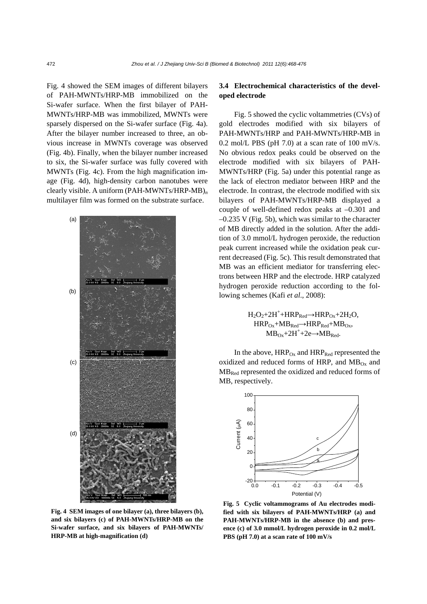Fig. 4 showed the SEM images of different bilayers of PAH-MWNTs/HRP-MB immobilized on the Si-wafer surface. When the first bilayer of PAH-MWNTs/HRP-MB was immobilized, MWNTs were sparsely dispersed on the Si-wafer surface (Fig. 4a). After the bilayer number increased to three, an obvious increase in MWNTs coverage was observed (Fig. 4b). Finally, when the bilayer number increased to six, the Si-wafer surface was fully covered with MWNTs (Fig. 4c). From the high magnification image (Fig. 4d), high-density carbon nanotubes were clearly visible. A uniform (PAH-MWNTs/HRP-MB)*<sup>n</sup>* multilayer film was formed on the substrate surface.



**Fig. 4 SEM images of one bilayer (a), three bilayers (b), and six bilayers (c) of PAH-MWNTs/HRP-MB on the Si-wafer surface, and six bilayers of PAH-MWNTs/ HRP-MB at high-magnification (d)**

## **3.4 Electrochemical characteristics of the developed electrode**

Fig. 5 showed the cyclic voltammetries (CVs) of gold electrodes modified with six bilayers of PAH-MWNTs/HRP and PAH-MWNTs/HRP-MB in 0.2 mol/L PBS ( $pH$  7.0) at a scan rate of 100 mV/s. No obvious redox peaks could be observed on the electrode modified with six bilayers of PAH-MWNTs/HRP (Fig. 5a) under this potential range as the lack of electron mediator between HRP and the electrode. In contrast, the electrode modified with six bilayers of PAH-MWNTs/HRP-MB displayed a couple of well-defined redox peaks at –0.301 and  $-0.235$  V (Fig. 5b), which was similar to the character of MB directly added in the solution. After the addition of 3.0 mmol/L hydrogen peroxide, the reduction peak current increased while the oxidation peak current decreased (Fig. 5c). This result demonstrated that MB was an efficient mediator for transferring electrons between HRP and the electrode. HRP catalyzed hydrogen peroxide reduction according to the following schemes (Kafi *et al*., 2008):

> $H_2O_2+2H^+ + HRP_{Red} \rightarrow HRP_{Ox}+2H_2O,$  $HRP_{Ox} + MB_{Red} \rightarrow HRP_{Red} + MB_{Ox}$  $MB_{Ox} + 2H^+ + 2e \rightarrow MB_{Red}$ .

In the above,  $HRP<sub>Ox</sub>$  and  $HRP<sub>Red</sub>$  represented the oxidized and reduced forms of HRP, and  $MB<sub>Ox</sub>$  and MBRed represented the oxidized and reduced forms of MB, respectively.



**Fig. 5 Cyclic voltammograms of Au electrodes modified with six bilayers of PAH-MWNTs/HRP (a) and PAH-MWNTs/HRP-MB in the absence (b) and presence (c) of 3.0 mmol/L hydrogen peroxide in 0.2 mol/L PBS (pH 7.0) at a scan rate of 100 mV/s**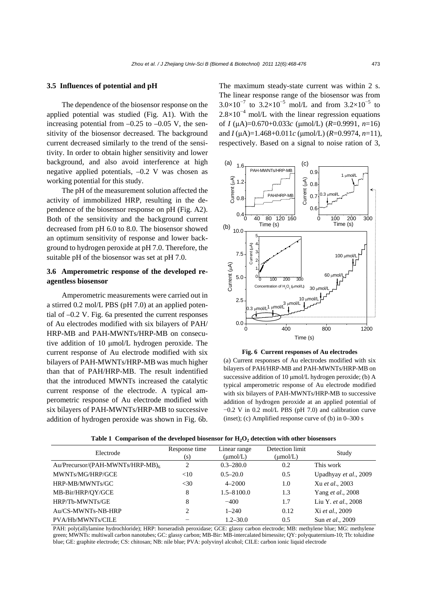#### **3.5 Influences of potential and pH**

The dependence of the biosensor response on the applied potential was studied (Fig. A1). With the increasing potential from  $-0.25$  to  $-0.05$  V, the sensitivity of the biosensor decreased. The background current decreased similarly to the trend of the sensitivity. In order to obtain higher sensitivity and lower background, and also avoid interference at high negative applied potentials, –0.2 V was chosen as working potential for this study.

The pH of the measurement solution affected the activity of immobilized HRP, resulting in the dependence of the biosensor response on pH (Fig. A2). Both of the sensitivity and the background current decreased from pH 6.0 to 8.0. The biosensor showed an optimum sensitivity of response and lower background to hydrogen peroxide at pH 7.0. Therefore, the suitable pH of the biosensor was set at pH 7.0.

## **3.6 Amperometric response of the developed reagentless biosensor**

Amperometric measurements were carried out in a stirred 0.2 mol/L PBS (pH 7.0) at an applied potential of –0.2 V. Fig. 6a presented the current responses of Au electrodes modified with six bilayers of PAH/ HRP-MB and PAH-MWNTs/HRP-MB on consecutive addition of 10 μmol/L hydrogen peroxide. The current response of Au electrode modified with six bilayers of PAH-MWNTs/HRP-MB was much higher than that of PAH/HRP-MB. The result indentified that the introduced MWNTs increased the catalytic current response of the electrode. A typical amperometric response of Au electrode modified with six bilayers of PAH-MWNTs/HRP-MB to successive addition of hydrogen peroxide was shown in Fig. 6b. The maximum steady-state current was within 2 s. The linear response range of the biosensor was from  $3.0\times10^{-7}$  to  $3.2\times10^{-5}$  mol/L and from  $3.2\times10^{-5}$  to  $2.8 \times 10^{-4}$  mol/L with the linear regression equations of *I* (μA)=0.670+0.033*c* (μmol/L) (*R*=0.9991, *n*=16) and *I* (μA)=1.468+0.011*c* (μmol/L) (*R*=0.9974, *n*=11), respectively. Based on a signal to noise ration of 3,



**Fig. 6 Current responses of Au electrodes**  (a) Current responses of Au electrodes modified with six bilayers of PAH/HRP-MB and PAH-MWNTs/HRP-MB on successive addition of 10 μmol/L hydrogen peroxide; (b) A typical amperometric response of Au electrode modified with six bilayers of PAH-MWNTs/HRP-MB to successive addition of hydrogen peroxide at an applied potential of −0.2 V in 0.2 mol/L PBS (pH 7.0) and calibration curve (inset); (c) Amplified response curve of (b) in  $0-300$  s

| Electrode                        | Response time<br>(s) | Linear range<br>$(\mu \text{mol/L})$ | Detection limit<br>$(\mu$ mol/L) | Study                 |
|----------------------------------|----------------------|--------------------------------------|----------------------------------|-----------------------|
| Au/Precursor/(PAH-MWNTs/HRP-MB)6 | 2                    | $0.3 - 280.0$                        | 0.2                              | This work             |
| MWNTs/MG/HRP/GCE                 | <10                  | $0.5 - 20.0$                         | 0.5                              | Upadhyay et al., 2009 |
| HRP-MB/MWNTs/GC                  | $<$ 30               | $4 - 2000$                           | 1.0                              | Xu et al., 2003       |
| MB-Bir/HRP/OY/GCE                | 8                    | $1.5 - 8100.0$                       | 1.3                              | Yang et al., 2008     |
| HRP/Tb-MWNTs/GE                  | 8                    | $-400$                               | 1.7                              | Liu Y. et al., 2008   |
| Au/CS-MWNTs-NB-HRP               | 2                    | $1 - 240$                            | 0.12                             | Xi et al., 2009       |
| PVA/Hb/MWNTs/CILE                |                      | $1.2 - 30.0$                         | 0.5                              | Sun et al., 2009      |

Table 1 Comparison of the developed biosensor for H<sub>2</sub>O<sub>2</sub> detection with other biosensors

PAH: poly(allylamine hydrochloride); HRP: horseradish peroxidase; GCE: glassy carbon electrode; MB: methylene blue; MG: methylene green; MWNTs: multiwall carbon nanotubes; GC: glassy carbon; MB-Bir: MB-intercalated birnessite; QY: polyquaternium-10; Tb: toluidine blue; GE: graphite electrode; CS: chitosan; NB: nile blue; PVA: polyvinyl alcohol; CILE: carbon ionic liquid electrode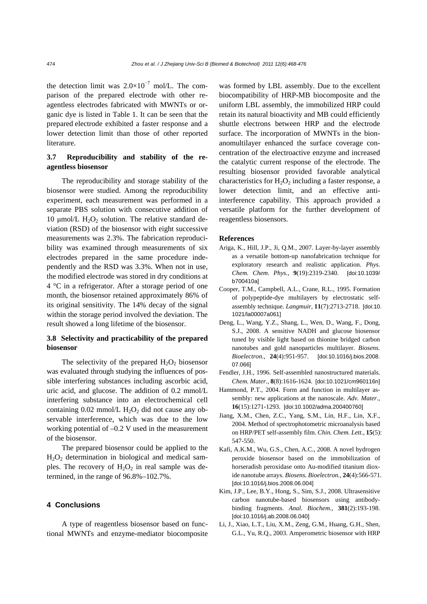the detection limit was  $2.0 \times 10^{-7}$  mol/L. The comparison of the prepared electrode with other reagentless electrodes fabricated with MWNTs or organic dye is listed in Table 1. It can be seen that the prepared electrode exhibited a faster response and a lower detection limit than those of other reported literature.

## **3.7 Reproducibility and stability of the reagentless biosensor**

The reproducibility and storage stability of the biosensor were studied. Among the reproducibility experiment, each measurement was performed in a separate PBS solution with consecutive addition of 10 μmol/L  $H_2O_2$  solution. The relative standard deviation (RSD) of the biosensor with eight successive measurements was 2.3%. The fabrication reproducibility was examined through measurements of six electrodes prepared in the same procedure independently and the RSD was 3.3%. When not in use, the modified electrode was stored in dry conditions at 4 °C in a refrigerator. After a storage period of one month, the biosensor retained approximately 86% of its original sensitivity. The 14% decay of the signal within the storage period involved the deviation. The result showed a long lifetime of the biosensor.

## **3.8 Selectivity and practicability of the prepared biosensor**

The selectivity of the prepared  $H_2O_2$  biosensor was evaluated through studying the influences of possible interfering substances including ascorbic acid, uric acid, and glucose. The addition of 0.2 mmol/L interfering substance into an electrochemical cell containing  $0.02$  mmol/L  $H_2O_2$  did not cause any observable interference, which was due to the low working potential of –0.2 V used in the measurement of the biosensor.

The prepared biosensor could be applied to the  $H<sub>2</sub>O<sub>2</sub>$  determination in biological and medical samples. The recovery of  $H_2O_2$  in real sample was determined, in the range of 96.8%–102.7%.

#### **4 Conclusions**

A type of reagentless biosensor based on functional MWNTs and enzyme-mediator biocomposite was formed by LBL assembly. Due to the excellent biocompatibility of HRP-MB biocomposite and the uniform LBL assembly, the immobilized HRP could retain its natural bioactivity and MB could efficiently shuttle electrons between HRP and the electrode surface. The incorporation of MWNTs in the bionanomultilayer enhanced the surface coverage concentration of the electroactive enzyme and increased the catalytic current response of the electrode. The resulting biosensor provided favorable analytical characteristics for  $H_2O_2$  including a faster response, a lower detection limit, and an effective antiinterference capability. This approach provided a versatile platform for the further development of reagentless biosensors.

#### **References**

- Ariga, K., Hill, J.P., Ji, Q.M., 2007. Layer-by-layer assembly as a versatile bottom-up nanofabrication technique for exploratory research and realistic application. *Phys. Chem. Chem. Phys.*, **9**(19):2319-2340. [doi:10.1039/ b700410a]
- Cooper, T.M., Campbell, A.L., Crane, R.L., 1995. Formation of polypeptide-dye multilayers by electrostatic selfassembly technique. *Langmuir*, **11**(7):2713-2718. [doi:10. 1021/la00007a061]
- Deng, L., Wang, Y.Z., Shang, L., Wen, D., Wang, F., Dong, S.J., 2008. A sensitive NADH and glucose biosensor tuned by visible light based on thionine bridged carbon nanotubes and gold nanoparticles multilayer. *Biosens. Bioelectron.*, **24**(4):951-957. [doi:10.1016/j.bios.2008. 07.066]
- Fendler, J.H., 1996. Self-assembled nanostructured materials. *Chem. Mater.*, **8**(8):1616-1624. [doi:10.1021/cm960116n]
- Hammond, P.T., 2004. Form and function in multilayer assembly: new applications at the nanoscale. *Adv. Mater.*, **16**(15):1271-1293. [doi:10.1002/adma.200400760]
- Jiang, X.M., Chen, Z.C., Yang, S.M., Lin, H.F., Lin, X.F., 2004. Method of spectrophotometric microanalysis based on HRP/PET self-assembly film. *Chin. Chem. Lett.*, **15**(5): 547-550.
- Kafi, A.K.M., Wu, G.S., Chen, A.C., 2008. A novel hydrogen peroxide biosensor based on the immobilization of horseradish peroxidase onto Au-modified titanium dioxide nanotube arrays. *Biosens. Bioelectron.*, **24**(4):566-571. [doi:10.1016/j.bios.2008.06.004]
- Kim, J.P., Lee, B.Y., Hong, S., Sim, S.J., 2008. Ultrasensitive carbon nanotube-based biosensors using antibodybinding fragments. *Anal. Biochem.*, **381**(2):193-198. [doi:10.1016/j.ab.2008.06.040]
- Li, J., Xiao, L.T., Liu, X.M., Zeng, G.M., Huang, G.H., Shen, G.L., Yu, R.Q., 2003. Amperometric biosensor with HRP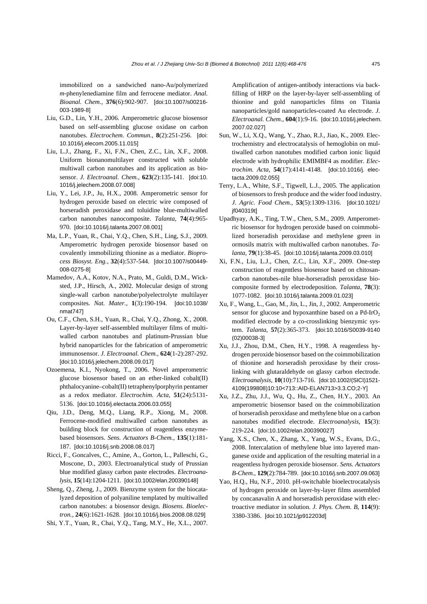immobilized on a sandwiched nano-Au/polymerized *m*-phenylenediamine film and ferrocene mediator. *Anal. Bioanal. Chem.*, **376**(6):902-907. [doi:10.1007/s00216- 003-1989-8]

- Liu, G.D., Lin, Y.H., 2006. Amperometric glucose biosensor based on self-assembling glucose oxidase on carbon nanotubes. *Electrochem. Commun.*, **8**(2):251-256. [doi: 10.1016/j.elecom.2005.11.015]
- Liu, L.J., Zhang, F., Xi, F.N., Chen, Z.C., Lin, X.F., 2008. Uniform bionanomultilayer constructed with soluble multiwall carbon nanotubes and its application as biosensor. *J. Electroanal. Chem.*, **623**(2):135-141. [doi:10. 1016/j.jelechem.2008.07.008]
- Liu, Y., Lei, J.P., Ju, H.X., 2008. Amperometric sensor for hydrogen peroxide based on electric wire composed of horseradish peroxidase and toluidine blue-multiwalled carbon nanotubes nanocomposite. *Talanta*, **74**(4):965- 970. [doi:10.1016/j.talanta.2007.08.001]
- Ma, L.P., Yuan, R., Chai, Y.Q., Chen, S.H., Ling, S.J., 2009. Amperometric hydrogen peroxide biosensor based on covalently immobilizing thionine as a mediator. *Bioprocess Biosyst. Eng.*, **32**(4):537-544. [doi:10.1007/s00449- 008-0275-8]
- Mamedov, A.A., Kotov, N.A., Prato, M., Guldi, D.M., Wicksted, J.P., Hirsch, A., 2002. Molecular design of strong single-wall carbon nanotube/polyelectrolyte multilayer composites. *Nat. Mater.*, **1**(3):190-194. [doi:10.1038/ nmat747]
- Ou, C.F., Chen, S.H., Yuan, R., Chai, Y.Q., Zhong, X., 2008. Layer-by-layer self-assembled multilayer films of multiwalled carbon nanotubes and platinum-Prussian blue hybrid nanoparticles for the fabrication of amperometric immunosensor. *J. Electroanal. Chem.*, **624**(1-2):287-292. [doi:10.1016/j.jelechem.2008.09.017]
- Ozoemena, K.I., Nyokong, T., 2006. Novel amperometric glucose biosensor based on an ether-linked cobalt(II) phthalocyanine–cobalt(II) tetraphenylporphyrin pentamer as a redox mediator. *Electrochim. Acta*, **51**(24):5131- 5136. [doi:10.1016/j.electacta.2006.03.055]
- Qiu, J.D., Deng, M.Q., Liang, R.P., Xiong, M., 2008. Ferrocene-modified multiwalled carbon nanotubes as building block for construction of reagentless enzymebased biosensors. *Sens. Actuators B-Chem.*, **135**(1):181- 187. [doi:10.1016/j.snb.2008.08.017]
- Ricci, F., Goncalves, C., Amine, A., Gorton, L., Palleschi, G., Moscone, D., 2003. Electroanalytical study of Prussian blue modified glassy carbon paste electrodes. *Electroanalysis*, **15**(14):1204-1211. [doi:10.1002/elan.200390148]
- Sheng, Q., Zheng, J., 2009. Bienzyme system for the biocatalyzed deposition of polyaniline templated by multiwalled carbon nanotubes: a biosensor design. *Biosens. Bioelectron.*, **24**(6):1621-1628. [doi:10.1016/j.bios.2008.08.029]
- Shi, Y.T., Yuan, R., Chai, Y.Q., Tang, M.Y., He, X.L., 2007.

Amplification of antigen-antibody interactions via backfilling of HRP on the layer-by-layer self-assembling of thionine and gold nanoparticles films on Titania nanoparticles/gold nanoparticles-coated Au electrode. *J. Electroanal. Chem.*, **604**(1):9-16. [doi:10.1016/j.jelechem. 2007.02.027]

- Sun, W., Li, X.Q., Wang, Y., Zhao, R.J., Jiao, K., 2009. Electrochemistry and electrocatalysis of hemoglobin on multiwalled carbon nanotubes modified carbon ionic liquid electrode with hydrophilic EMIMBF4 as modifier. *Electrochim. Acta*, **54**(17):4141-4148. [doi:10.1016/j. electacta.2009.02.055]
- Terry, L.A., White, S.F., Tigwell, L.J., 2005. The application of biosensors to fresh produce and the wider food industry. *J. Agric. Food Chem.*, **53**(5):1309-1316. [doi:10.1021/ jf040319t]
- Upadhyay, A.K., Ting, T.W., Chen, S.M., 2009. Amperometric biosensor for hydrogen peroxide based on coimmobilized horseradish peroxidase and methylene green in ormosils matrix with multiwalled carbon nanotubes. *Talanta*, **79**(1):38-45. [doi:10.1016/j.talanta.2009.03.010]
- Xi, F.N., Liu, L.J., Chen, Z.C., Lin, X.F., 2009. One-step construction of reagentless biosensor based on chitosancarbon nanotubes-nile blue-horseradish peroxidase biocomposite formed by electrodeposition. *Talanta*, **78**(3): 1077-1082. [doi:10.1016/j.talanta.2009.01.023]
- Xu, F., Wang, L., Gao, M., Jin, L., Jin, J., 2002. Amperometric sensor for glucose and hypoxanthine based on a  $Pd-IrO<sub>2</sub>$ modified electrode by a co-crosslinking bienzymic system. *Talanta*, **57**(2):365-373. [doi:10.1016/S0039-9140 (02)00038-3]
- Xu, J.J., Zhou, D.M., Chen, H.Y., 1998. A reagentless hydrogen peroxide biosensor based on the coimmobilization of thionine and horseradish peroxidase by their crosslinking with glutaraldehyde on glassy carbon electrode. *Electroanalysis*, **10**(10):713-716. [doi:10.1002/(SICI)1521- 4109(199808)10:10<713::AID-ELAN713>3.3.CO;2-Y]
- Xu, J.Z., Zhu, J.J., Wu, Q., Hu, Z., Chen, H.Y., 2003. An amperometric biosensor based on the coimmobilization of horseradish peroxidase and methylene blue on a carbon nanotubes modified electrode. *Electroanalysis*, **15**(3): 219-224. [doi:10.1002/elan.200390027]
- Yang, X.S., Chen, X., Zhang, X., Yang, W.S., Evans, D.G., 2008. Intercalation of methylene blue into layered manganese oxide and application of the resulting material in a reagentless hydrogen peroxide biosensor. *Sens. Actuators B-Chem.*, **129**(2):784-789. [doi:10.1016/j.snb.2007.09.063]
- Yao, H.Q., Hu, N.F., 2010. pH-switchable bioelectrocatalysis of hydrogen peroxide on layer-by-layer films assembled by concanavalin A and horseradish peroxidase with electroactive mediator in solution. *J. Phys. Chem. B*, **114**(9): 3380-3386. [doi:10.1021/jp912203d]